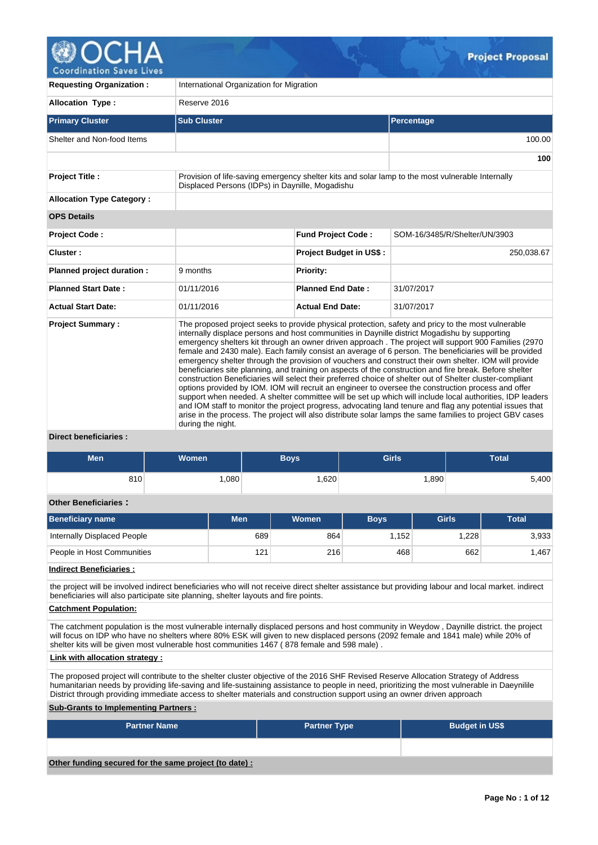

| International Organization for Migration                                                                                                                                                                                                                                                                                                                                                                                                                                                                                                                                                                                                                                                                                                                                                                                                                                                                                                                                                                                                                                                                                                                                                                                                                                                                        |                                |                                                                                                                                                                                  |  |  |  |  |  |  |
|-----------------------------------------------------------------------------------------------------------------------------------------------------------------------------------------------------------------------------------------------------------------------------------------------------------------------------------------------------------------------------------------------------------------------------------------------------------------------------------------------------------------------------------------------------------------------------------------------------------------------------------------------------------------------------------------------------------------------------------------------------------------------------------------------------------------------------------------------------------------------------------------------------------------------------------------------------------------------------------------------------------------------------------------------------------------------------------------------------------------------------------------------------------------------------------------------------------------------------------------------------------------------------------------------------------------|--------------------------------|----------------------------------------------------------------------------------------------------------------------------------------------------------------------------------|--|--|--|--|--|--|
| Reserve 2016                                                                                                                                                                                                                                                                                                                                                                                                                                                                                                                                                                                                                                                                                                                                                                                                                                                                                                                                                                                                                                                                                                                                                                                                                                                                                                    |                                |                                                                                                                                                                                  |  |  |  |  |  |  |
| <b>Sub Cluster</b>                                                                                                                                                                                                                                                                                                                                                                                                                                                                                                                                                                                                                                                                                                                                                                                                                                                                                                                                                                                                                                                                                                                                                                                                                                                                                              | Percentage                     |                                                                                                                                                                                  |  |  |  |  |  |  |
|                                                                                                                                                                                                                                                                                                                                                                                                                                                                                                                                                                                                                                                                                                                                                                                                                                                                                                                                                                                                                                                                                                                                                                                                                                                                                                                 |                                | 100.00                                                                                                                                                                           |  |  |  |  |  |  |
|                                                                                                                                                                                                                                                                                                                                                                                                                                                                                                                                                                                                                                                                                                                                                                                                                                                                                                                                                                                                                                                                                                                                                                                                                                                                                                                 |                                |                                                                                                                                                                                  |  |  |  |  |  |  |
|                                                                                                                                                                                                                                                                                                                                                                                                                                                                                                                                                                                                                                                                                                                                                                                                                                                                                                                                                                                                                                                                                                                                                                                                                                                                                                                 |                                |                                                                                                                                                                                  |  |  |  |  |  |  |
|                                                                                                                                                                                                                                                                                                                                                                                                                                                                                                                                                                                                                                                                                                                                                                                                                                                                                                                                                                                                                                                                                                                                                                                                                                                                                                                 |                                |                                                                                                                                                                                  |  |  |  |  |  |  |
|                                                                                                                                                                                                                                                                                                                                                                                                                                                                                                                                                                                                                                                                                                                                                                                                                                                                                                                                                                                                                                                                                                                                                                                                                                                                                                                 |                                |                                                                                                                                                                                  |  |  |  |  |  |  |
|                                                                                                                                                                                                                                                                                                                                                                                                                                                                                                                                                                                                                                                                                                                                                                                                                                                                                                                                                                                                                                                                                                                                                                                                                                                                                                                 | SOM-16/3485/R/Shelter/UN/3903  |                                                                                                                                                                                  |  |  |  |  |  |  |
|                                                                                                                                                                                                                                                                                                                                                                                                                                                                                                                                                                                                                                                                                                                                                                                                                                                                                                                                                                                                                                                                                                                                                                                                                                                                                                                 | <b>Project Budget in US\$:</b> | 250,038.67                                                                                                                                                                       |  |  |  |  |  |  |
| 9 months                                                                                                                                                                                                                                                                                                                                                                                                                                                                                                                                                                                                                                                                                                                                                                                                                                                                                                                                                                                                                                                                                                                                                                                                                                                                                                        | <b>Priority:</b>               |                                                                                                                                                                                  |  |  |  |  |  |  |
| 01/11/2016                                                                                                                                                                                                                                                                                                                                                                                                                                                                                                                                                                                                                                                                                                                                                                                                                                                                                                                                                                                                                                                                                                                                                                                                                                                                                                      | <b>Planned End Date:</b>       | 31/07/2017                                                                                                                                                                       |  |  |  |  |  |  |
| 01/11/2016                                                                                                                                                                                                                                                                                                                                                                                                                                                                                                                                                                                                                                                                                                                                                                                                                                                                                                                                                                                                                                                                                                                                                                                                                                                                                                      | <b>Actual End Date:</b>        | 31/07/2017                                                                                                                                                                       |  |  |  |  |  |  |
| <b>Actual Start Date:</b><br>The proposed project seeks to provide physical protection, safety and pricy to the most vulnerable<br><b>Project Summary:</b><br>internally displace persons and host communities in Daynille district Mogadishu by supporting<br>emergency shelters kit through an owner driven approach. The project will support 900 Families (2970<br>female and 2430 male). Each family consist an average of 6 person. The beneficiaries will be provided<br>emergency shelter through the provision of vouchers and construct their own shelter. IOM will provide<br>beneficiaries site planning, and training on aspects of the construction and fire break. Before shelter<br>construction Beneficiaries will select their preferred choice of shelter out of Shelter cluster-compliant<br>options provided by IOM. IOM will recruit an engineer to oversee the construction process and offer<br>support when needed. A shelter committee will be set up which will include local authorities, IDP leaders<br>and IOM staff to monitor the project progress, advocating land tenure and flag any potential issues that<br>arise in the process. The project will also distribute solar lamps the same families to project GBV cases<br>during the night.<br><b>Direct beneficiaries:</b> |                                |                                                                                                                                                                                  |  |  |  |  |  |  |
|                                                                                                                                                                                                                                                                                                                                                                                                                                                                                                                                                                                                                                                                                                                                                                                                                                                                                                                                                                                                                                                                                                                                                                                                                                                                                                                 |                                | Provision of life-saving emergency shelter kits and solar lamp to the most vulnerable Internally<br>Displaced Persons (IDPs) in Daynille, Mogadishu<br><b>Fund Project Code:</b> |  |  |  |  |  |  |

| <b>Men</b>                  | <b>Women</b> | <b>Boys</b> |              | <b>Girls</b> |              | <b>Total</b> |              |  |  |  |  |
|-----------------------------|--------------|-------------|--------------|--------------|--------------|--------------|--------------|--|--|--|--|
| 810                         | 1,080        |             | 1,620        |              | 1,890        |              | 5,400        |  |  |  |  |
| <b>Other Beneficiaries:</b> |              |             |              |              |              |              |              |  |  |  |  |
| <b>Beneficiary name</b>     | <b>Men</b>   |             | <b>Women</b> | <b>Boys</b>  | <b>Girls</b> |              | <b>Total</b> |  |  |  |  |
| Internally Displaced People |              | 689         | 864          | 1,152        |              | 1,228        | 3,933        |  |  |  |  |
| People in Host Communities  |              | 121         | 216          | 468          |              | 1,467<br>662 |              |  |  |  |  |
| .<br>.                      |              |             |              |              |              |              |              |  |  |  |  |

**Indirect Beneficiaries :**

the project will be involved indirect beneficiaries who will not receive direct shelter assistance but providing labour and local market. indirect beneficiaries will also participate site planning, shelter layouts and fire points.

# **Catchment Population:**

The catchment population is the most vulnerable internally displaced persons and host community in Weydow , Daynille district. the project will focus on IDP who have no shelters where 80% ESK will given to new displaced persons (2092 female and 1841 male) while 20% of shelter kits will be given most vulnerable host communities 1467 (878 female and 598 male).

### **Link with allocation strategy :**

The proposed project will contribute to the shelter cluster objective of the 2016 SHF Revised Reserve Allocation Strategy of Address humanitarian needs by providing life-saving and life-sustaining assistance to people in need, prioritizing the most vulnerable in Daeynilile District through providing immediate access to shelter materials and construction support using an owner driven approach

# **Sub-Grants to Implementing Partners :**

| <b>Partner Name</b>                                   | <b>Partner Type</b> | <b>Budget in US\$</b> |
|-------------------------------------------------------|---------------------|-----------------------|
|                                                       |                     |                       |
| Other funding secured for the same project (to date): |                     |                       |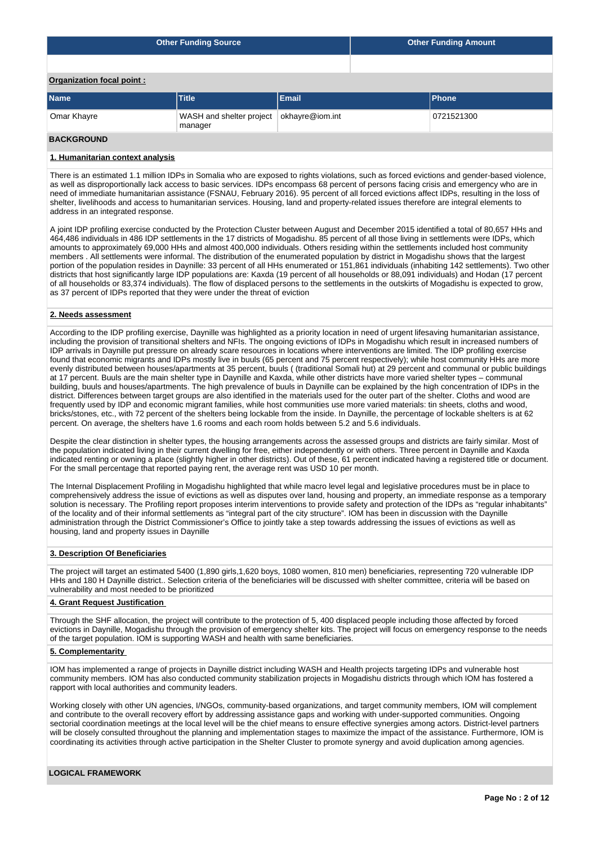|                           | <b>Other Funding Source</b> | <b>Other Funding Amount</b> |  |              |  |  |  |  |  |  |
|---------------------------|-----------------------------|-----------------------------|--|--------------|--|--|--|--|--|--|
|                           |                             |                             |  |              |  |  |  |  |  |  |
| Organization focal point: |                             |                             |  |              |  |  |  |  |  |  |
| <b>Name</b>               | <b>Title</b>                | Email                       |  | <b>Phone</b> |  |  |  |  |  |  |
| Omar Khayre               | WASH and shelter project    | okhayre@iom.int             |  | 0721521300   |  |  |  |  |  |  |

#### **BACKGROUND**

#### **1. Humanitarian context analysis**

manager

There is an estimated 1.1 million IDPs in Somalia who are exposed to rights violations, such as forced evictions and gender-based violence, as well as disproportionally lack access to basic services. IDPs encompass 68 percent of persons facing crisis and emergency who are in need of immediate humanitarian assistance (FSNAU, February 2016). 95 percent of all forced evictions affect IDPs, resulting in the loss of shelter, livelihoods and access to humanitarian services. Housing, land and property-related issues therefore are integral elements to address in an integrated response.

A joint IDP profiling exercise conducted by the Protection Cluster between August and December 2015 identified a total of 80,657 HHs and 464,486 individuals in 486 IDP settlements in the 17 districts of Mogadishu. 85 percent of all those living in settlements were IDPs, which amounts to approximately 69,000 HHs and almost 400,000 individuals. Others residing within the settlements included host community members . All settlements were informal. The distribution of the enumerated population by district in Mogadishu shows that the largest portion of the population resides in Daynille: 33 percent of all HHs enumerated or 151,861 individuals (inhabiting 142 settlements). Two other districts that host significantly large IDP populations are: Kaxda (19 percent of all households or 88,091 individuals) and Hodan (17 percent of all households or 83,374 individuals). The flow of displaced persons to the settlements in the outskirts of Mogadishu is expected to grow, as 37 percent of IDPs reported that they were under the threat of eviction

#### **2. Needs assessment**

According to the IDP profiling exercise, Daynille was highlighted as a priority location in need of urgent lifesaving humanitarian assistance, including the provision of transitional shelters and NFIs. The ongoing evictions of IDPs in Mogadishu which result in increased numbers of IDP arrivals in Daynille put pressure on already scare resources in locations where interventions are limited. The IDP profiling exercise found that economic migrants and IDPs mostly live in buuls (65 percent and 75 percent respectively); while host community HHs are more evenly distributed between houses/apartments at 35 percent, buuls ((traditional Somali hut) at 29 percent and communal or public buildings at 17 percent. Buuls are the main shelter type in Daynille and Kaxda, while other districts have more varied shelter types – communal building, buuls and houses/apartments. The high prevalence of buuls in Daynille can be explained by the high concentration of IDPs in the district. Differences between target groups are also identified in the materials used for the outer part of the shelter. Cloths and wood are frequently used by IDP and economic migrant families, while host communities use more varied materials: tin sheets, cloths and wood, bricks/stones, etc., with 72 percent of the shelters being lockable from the inside. In Daynille, the percentage of lockable shelters is at 62 percent. On average, the shelters have 1.6 rooms and each room holds between 5.2 and 5.6 individuals.

Despite the clear distinction in shelter types, the housing arrangements across the assessed groups and districts are fairly similar. Most of the population indicated living in their current dwelling for free, either independently or with others. Three percent in Daynille and Kaxda indicated renting or owning a place (slightly higher in other districts). Out of these, 61 percent indicated having a registered title or document. For the small percentage that reported paying rent, the average rent was USD 10 per month.

The Internal Displacement Profiling in Mogadishu highlighted that while macro level legal and legislative procedures must be in place to comprehensively address the issue of evictions as well as disputes over land, housing and property, an immediate response as a temporary solution is necessary. The Profiling report proposes interim interventions to provide safety and protection of the IDPs as "regular inhabitants" of the locality and of their informal settlements as "integral part of the city structure". IOM has been in discussion with the Daynille administration through the District Commissioner's Office to jointly take a step towards addressing the issues of evictions as well as housing, land and property issues in Daynille

#### **3. Description Of Beneficiaries**

The project will target an estimated 5400 (1,890 girls,1,620 boys, 1080 women, 810 men) beneficiaries, representing 720 vulnerable IDP HHs and 180 H Daynille district.. Selection criteria of the beneficiaries will be discussed with shelter committee, criteria will be based on vulnerability and most needed to be prioritized

#### **4. Grant Request Justification**

Through the SHF allocation, the project will contribute to the protection of 5, 400 displaced people including those affected by forced evictions in Daynille, Mogadishu through the provision of emergency shelter kits. The project will focus on emergency response to the needs of the target population. IOM is supporting WASH and health with same beneficiaries.

### **5. Complementarity**

IOM has implemented a range of projects in Daynille district including WASH and Health projects targeting IDPs and vulnerable host community members. IOM has also conducted community stabilization projects in Mogadishu districts through which IOM has fostered a rapport with local authorities and community leaders.

Working closely with other UN agencies, I/NGOs, community-based organizations, and target community members, IOM will complement and contribute to the overall recovery effort by addressing assistance gaps and working with under-supported communities. Ongoing sectorial coordination meetings at the local level will be the chief means to ensure effective synergies among actors. District-level partners will be closely consulted throughout the planning and implementation stages to maximize the impact of the assistance. Furthermore, IOM is coordinating its activities through active participation in the Shelter Cluster to promote synergy and avoid duplication among agencies.

# **LOGICAL FRAMEWORK**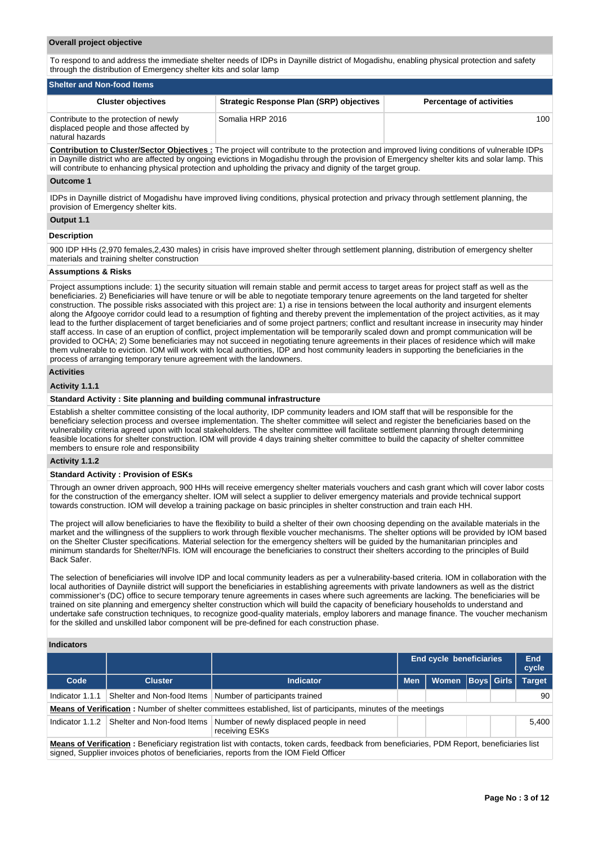#### **Overall project objective**

To respond to and address the immediate shelter needs of IDPs in Daynille district of Mogadishu, enabling physical protection and safety through the distribution of Emergency shelter kits and solar lamp

| <b>Shelter and Non-food Items,</b>                                                                 |                                          |                                 |  |  |  |  |  |  |  |
|----------------------------------------------------------------------------------------------------|------------------------------------------|---------------------------------|--|--|--|--|--|--|--|
| <b>Cluster objectives</b>                                                                          | Strategic Response Plan (SRP) objectives | <b>Percentage of activities</b> |  |  |  |  |  |  |  |
| Contribute to the protection of newly<br>displaced people and those affected by<br>natural hazards | Somalia HRP 2016                         | 100 <sub>1</sub>                |  |  |  |  |  |  |  |

**Contribution to Cluster/Sector Objectives :** The project will contribute to the protection and improved living conditions of vulnerable IDPs in Daynille district who are affected by ongoing evictions in Mogadishu through the provision of Emergency shelter kits and solar lamp. This will contribute to enhancing physical protection and upholding the privacy and dignity of the target group.

#### **Outcome 1**

IDPs in Daynille district of Mogadishu have improved living conditions, physical protection and privacy through settlement planning, the provision of Emergency shelter kits.

## **Output 1.1**

#### **Description**

900 IDP HHs (2,970 females,2,430 males) in crisis have improved shelter through settlement planning, distribution of emergency shelter materials and training shelter construction

#### **Assumptions & Risks**

Project assumptions include: 1) the security situation will remain stable and permit access to target areas for project staff as well as the beneficiaries. 2) Beneficiaries will have tenure or will be able to negotiate temporary tenure agreements on the land targeted for shelter construction. The possible risks associated with this project are: 1) a rise in tensions between the local authority and insurgent elements along the Afgooye corridor could lead to a resumption of fighting and thereby prevent the implementation of the project activities, as it may lead to the further displacement of target beneficiaries and of some project partners; conflict and resultant increase in insecurity may hinder staff access. In case of an eruption of conflict, project implementation will be temporarily scaled down and prompt communication will be provided to OCHA; 2) Some beneficiaries may not succeed in negotiating tenure agreements in their places of residence which will make them vulnerable to eviction. IOM will work with local authorities, IDP and host community leaders in supporting the beneficiaries in the process of arranging temporary tenure agreement with the landowners.

## **Activities**

#### **Activity 1.1.1**

#### **Standard Activity : Site planning and building communal infrastructure**

Establish a shelter committee consisting of the local authority, IDP community leaders and IOM staff that will be responsible for the beneficiary selection process and oversee implementation. The shelter committee will select and register the beneficiaries based on the vulnerability criteria agreed upon with local stakeholders. The shelter committee will facilitate settlement planning through determining feasible locations for shelter construction. IOM will provide 4 days training shelter committee to build the capacity of shelter committee members to ensure role and responsibility

#### **Activity 1.1.2**

#### **Standard Activity : Provision of ESKs**

Through an owner driven approach, 900 HHs will receive emergency shelter materials vouchers and cash grant which will cover labor costs for the construction of the emergancy shelter. IOM will select a supplier to deliver emergency materials and provide technical support towards construction. IOM will develop a training package on basic principles in shelter construction and train each HH.

The project will allow beneficiaries to have the flexibility to build a shelter of their own choosing depending on the available materials in the market and the willingness of the suppliers to work through flexible voucher mechanisms. The shelter options will be provided by IOM based on the Shelter Cluster specifications. Material selection for the emergency shelters will be guided by the humanitarian principles and minimum standards for Shelter/NFIs. IOM will encourage the beneficiaries to construct their shelters according to the principles of Build Back Safer.

The selection of beneficiaries will involve IDP and local community leaders as per a vulnerability-based criteria. IOM in collaboration with the local authorities of Dayniile district will support the beneficiaries in establishing agreements with private landowners as well as the district commissioner's (DC) office to secure temporary tenure agreements in cases where such agreements are lacking. The beneficiaries will be trained on site planning and emergency shelter construction which will build the capacity of beneficiary households to understand and undertake safe construction techniques, to recognize good-quality materials, employ laborers and manage finance. The voucher mechanism for the skilled and unskilled labor component will be pre-defined for each construction phase.

## **Indicators**

|                                                                                                                      |                |                                                                                                                                                                                                                                       | <b>End cycle beneficiaries</b> | End<br>cycle |  |            |               |  |  |  |
|----------------------------------------------------------------------------------------------------------------------|----------------|---------------------------------------------------------------------------------------------------------------------------------------------------------------------------------------------------------------------------------------|--------------------------------|--------------|--|------------|---------------|--|--|--|
| Code                                                                                                                 | <b>Cluster</b> | <b>Indicator</b>                                                                                                                                                                                                                      | <b>Men</b>                     | <b>Women</b> |  | Boys Girls | <b>Target</b> |  |  |  |
| Indicator 1.1.1                                                                                                      |                | Shelter and Non-food Items   Number of participants trained                                                                                                                                                                           |                                |              |  | 90         |               |  |  |  |
|                                                                                                                      |                | <b>Means of Verification</b> : Number of shelter committees established, list of participants, minutes of the meetings                                                                                                                |                                |              |  |            |               |  |  |  |
| Number of newly displaced people in need<br>Shelter and Non-food Items<br>5.400<br>Indicator 1.1.2<br>receiving ESKs |                |                                                                                                                                                                                                                                       |                                |              |  |            |               |  |  |  |
|                                                                                                                      |                | Means of Verification: Beneficiary registration list with contacts, token cards, feedback from beneficiaries, PDM Report, beneficiaries list<br>signed, Supplier invoices photos of beneficiaries, reports from the IOM Field Officer |                                |              |  |            |               |  |  |  |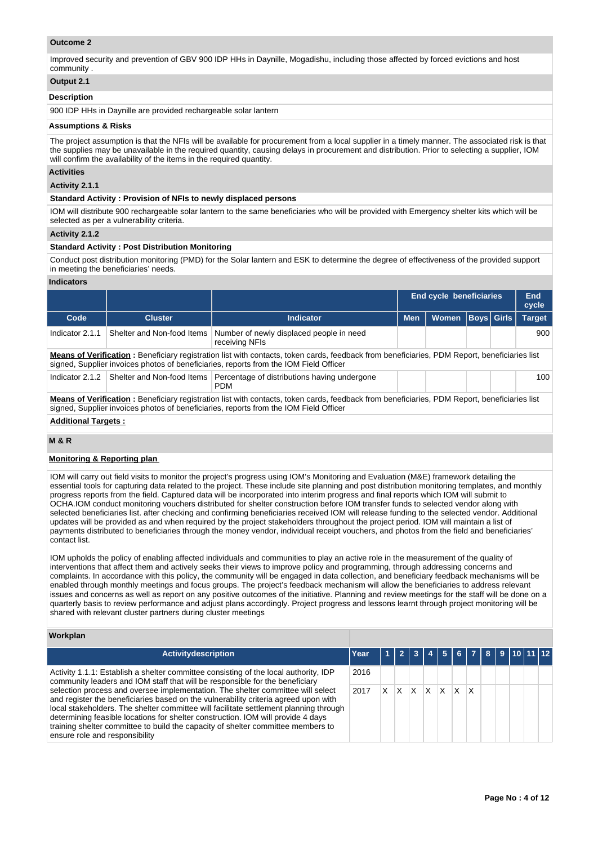### **Outcome 2**

Improved security and prevention of GBV 900 IDP HHs in Daynille, Mogadishu, including those affected by forced evictions and host community .

## **Output 2.1**

#### **Description**

900 IDP HHs in Daynille are provided rechargeable solar lantern

#### **Assumptions & Risks**

The project assumption is that the NFIs will be available for procurement from a local supplier in a timely manner. The associated risk is that the supplies may be unavailable in the required quantity, causing delays in procurement and distribution. Prior to selecting a supplier, IOM will confirm the availability of the items in the required quantity.

#### **Activities**

#### **Activity 2.1.1**

#### **Standard Activity : Provision of NFIs to newly displaced persons**

IOM will distribute 900 rechargeable solar lantern to the same beneficiaries who will be provided with Emergency shelter kits which will be selected as per a vulnerability criteria.

#### **Activity 2.1.2**

## **Standard Activity : Post Distribution Monitoring**

Conduct post distribution monitoring (PMD) for the Solar lantern and ESK to determine the degree of effectiveness of the provided support in meeting the beneficiaries' needs.

### **Indicators**

|                            |                            |                                                                                                                                                                                                                                               |            | End cycle beneficiaries |  |                   | End<br>cycle  |
|----------------------------|----------------------------|-----------------------------------------------------------------------------------------------------------------------------------------------------------------------------------------------------------------------------------------------|------------|-------------------------|--|-------------------|---------------|
| Code                       | <b>Cluster</b>             | <b>Indicator</b>                                                                                                                                                                                                                              | <b>Men</b> | <b>Women</b>            |  | <b>Boys</b> Girls | <b>Target</b> |
| Indicator 2.1.1            | Shelter and Non-food Items | Number of newly displaced people in need<br>receiving NFIs                                                                                                                                                                                    |            | 900                     |  |                   |               |
|                            |                            | <b>Means of Verification</b> : Beneficiary registration list with contacts, token cards, feedback from beneficiaries, PDM Report, beneficiaries list<br>signed, Supplier invoices photos of beneficiaries, reports from the IOM Field Officer |            |                         |  |                   |               |
| Indicator 2.1.2            |                            | Shelter and Non-food Items   Percentage of distributions having undergone<br><b>PDM</b>                                                                                                                                                       |            |                         |  |                   | 100           |
|                            |                            | Means of Verification: Beneficiary registration list with contacts, token cards, feedback from beneficiaries, PDM Report, beneficiaries list<br>signed, Supplier invoices photos of beneficiaries, reports from the IOM Field Officer         |            |                         |  |                   |               |
| <b>Additional Targets:</b> |                            |                                                                                                                                                                                                                                               |            |                         |  |                   |               |

#### **M & R**

## **Monitoring & Reporting plan**

IOM will carry out field visits to monitor the project's progress using IOM's Monitoring and Evaluation (M&E) framework detailing the essential tools for capturing data related to the project. These include site planning and post distribution monitoring templates, and monthly progress reports from the field. Captured data will be incorporated into interim progress and final reports which IOM will submit to OCHA.IOM conduct monitoring vouchers distributed for shelter construction before IOM transfer funds to selected vendor along with selected beneficiaries list. after checking and confirming beneficiaries received IOM will release funding to the selected vendor. Additional updates will be provided as and when required by the project stakeholders throughout the project period. IOM will maintain a list of payments distributed to beneficiaries through the money vendor, individual receipt vouchers, and photos from the field and beneficiaries' contact list.

IOM upholds the policy of enabling affected individuals and communities to play an active role in the measurement of the quality of interventions that affect them and actively seeks their views to improve policy and programming, through addressing concerns and complaints. In accordance with this policy, the community will be engaged in data collection, and beneficiary feedback mechanisms will be enabled through monthly meetings and focus groups. The project's feedback mechanism will allow the beneficiaries to address relevant issues and concerns as well as report on any positive outcomes of the initiative. Planning and review meetings for the staff will be done on a quarterly basis to review performance and adjust plans accordingly. Project progress and lessons learnt through project monitoring will be shared with relevant cluster partners during cluster meetings

### **Workplan**

| <b>Activitydescription</b>                                                                                                                                                                                                                                                                                                                                                                                                                                                | Year |          |              |                         | 1   2   3   4   5   6   7   8   9   10   11   12 |          |     |              |  |  |  |
|---------------------------------------------------------------------------------------------------------------------------------------------------------------------------------------------------------------------------------------------------------------------------------------------------------------------------------------------------------------------------------------------------------------------------------------------------------------------------|------|----------|--------------|-------------------------|--------------------------------------------------|----------|-----|--------------|--|--|--|
| Activity 1.1.1: Establish a shelter committee consisting of the local authority, IDP<br>community leaders and IOM staff that will be responsible for the beneficiary                                                                                                                                                                                                                                                                                                      | 2016 |          |              |                         |                                                  |          |     |              |  |  |  |
| selection process and oversee implementation. The shelter committee will select<br>and register the beneficiaries based on the vulnerability criteria agreed upon with<br>local stakeholders. The shelter committee will facilitate settlement planning through<br>determining feasible locations for shelter construction. IOM will provide 4 days<br>training shelter committee to build the capacity of shelter committee members to<br>ensure role and responsibility | 2017 | <b>X</b> | $\mathsf{X}$ | $\mathsf{X} \mathsf{X}$ |                                                  | $\times$ | l X | $\mathsf{x}$ |  |  |  |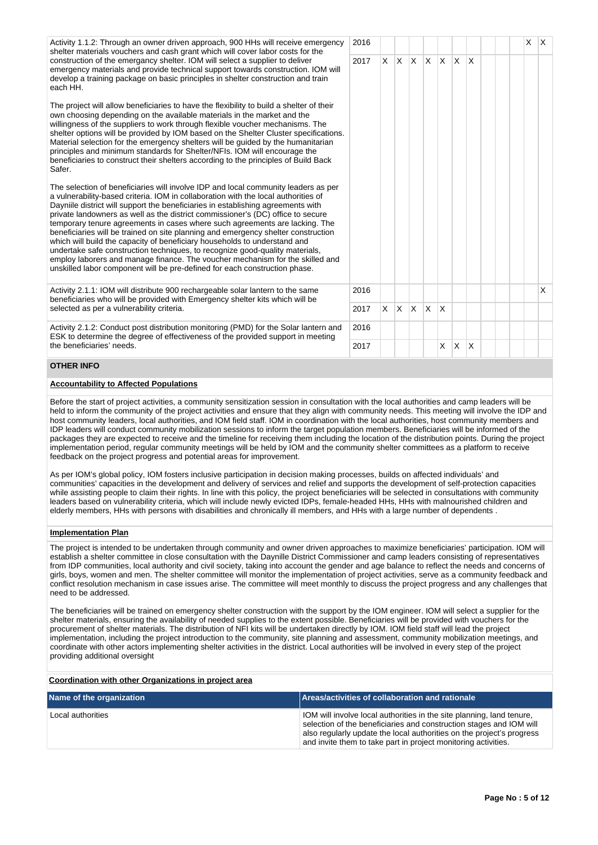Activity 1.1.2: Through an owner driven approach, 900 HHs will receive emergency shelter materials vouchers and cash grant which will cover labor costs for the construction of the emergancy shelter. IOM will select a supplier to deliver emergency materials and provide technical support towards construction. IOM will develop a training package on basic principles in shelter construction and train each HH.

The project will allow beneficiaries to have the flexibility to build a shelter of their own choosing depending on the available materials in the market and the willingness of the suppliers to work through flexible voucher mechanisms. The shelter options will be provided by IOM based on the Shelter Cluster specifications. Material selection for the emergency shelters will be guided by the humanitarian principles and minimum standards for Shelter/NFIs. IOM will encourage the beneficiaries to construct their shelters according to the principles of Build Back Safer.

The selection of beneficiaries will involve IDP and local community leaders as per a vulnerability-based criteria. IOM in collaboration with the local authorities of Dayniile district will support the beneficiaries in establishing agreements with private landowners as well as the district commissioner's (DC) office to secure temporary tenure agreements in cases where such agreements are lacking. The beneficiaries will be trained on site planning and emergency shelter construction which will build the capacity of beneficiary households to understand and undertake safe construction techniques, to recognize good-quality materials, employ laborers and manage finance. The voucher mechanism for the skilled and unskilled labor component will be pre-defined for each construction phase.

Activity 2.1.1: IOM will distribute 900 rechargeable solar lantern to the same beneficiaries who will be provided with Emergency shelter kits which will be selected as per a vulnerability criteria.

Activity 2.1.2: Conduct post distribution monitoring (PMD) for the Solar lantern and ESK to determine the degree of effectiveness of the provided support in meeting the beneficiaries' needs.

## **OTHER INFO**

# **Accountability to Affected Populations**

Before the start of project activities, a community sensitization session in consultation with the local authorities and camp leaders will be held to inform the community of the project activities and ensure that they align with community needs. This meeting will involve the IDP and host community leaders, local authorities, and IOM field staff. IOM in coordination with the local authorities, host community members and IDP leaders will conduct community mobilization sessions to inform the target population members. Beneficiaries will be informed of the packages they are expected to receive and the timeline for receiving them including the location of the distribution points. During the project implementation period, regular community meetings will be held by IOM and the community shelter committees as a platform to receive feedback on the project progress and potential areas for improvement.

As per IOM's global policy, IOM fosters inclusive participation in decision making processes, builds on affected individuals' and communities' capacities in the development and delivery of services and relief and supports the development of self-protection capacities while assisting people to claim their rights. In line with this policy, the project beneficiaries will be selected in consultations with community leaders based on vulnerability criteria, which will include newly evicted IDPs, female-headed HHs, HHs with malnourished children and elderly members, HHs with persons with disabilities and chronically ill members, and HHs with a large number of dependents .

### **Implementation Plan**

The project is intended to be undertaken through community and owner driven approaches to maximize beneficiaries' participation. IOM will establish a shelter committee in close consultation with the Daynille District Commissioner and camp leaders consisting of representatives from IDP communities, local authority and civil society, taking into account the gender and age balance to reflect the needs and concerns of girls, boys, women and men. The shelter committee will monitor the implementation of project activities, serve as a community feedback and conflict resolution mechanism in case issues arise. The committee will meet monthly to discuss the project progress and any challenges that need to be addressed.

The beneficiaries will be trained on emergency shelter construction with the support by the IOM engineer. IOM will select a supplier for the shelter materials, ensuring the availability of needed supplies to the extent possible. Beneficiaries will be provided with vouchers for the procurement of shelter materials. The distribution of NFI kits will be undertaken directly by IOM. IOM field staff will lead the project implementation, including the project introduction to the community, site planning and assessment, community mobilization meetings, and coordinate with other actors implementing shelter activities in the district. Local authorities will be involved in every step of the project providing additional oversight

#### **Coordination with other Organizations in project area**

| Name of the organization | Areas/activities of collaboration and rationale                                                                                                                                                                                                                                         |
|--------------------------|-----------------------------------------------------------------------------------------------------------------------------------------------------------------------------------------------------------------------------------------------------------------------------------------|
| Local authorities        | IOM will involve local authorities in the site planning, land tenure,<br>selection of the beneficiaries and construction stages and IOM will<br>also regularly update the local authorities on the project's progress<br>and invite them to take part in project monitoring activities. |

| $\mathsf X$<br>2016<br>X<br>$\mathsf{X}^-$<br>$\mathsf X$<br>$\boldsymbol{\mathsf{X}}$<br>$\sf X$<br>$\mathsf{X}$<br>$\mathsf X$<br>$\boldsymbol{\mathsf{X}}$<br>2017<br>X<br>2016<br>X<br>$\mathsf X$<br>X<br>$\mathsf X$<br>$\mathsf{X}$<br>2017<br>2016<br>$\mathsf X$<br>X<br>$\mathsf X$<br>2017 |    |  |  |  |  |  |  |  |
|-------------------------------------------------------------------------------------------------------------------------------------------------------------------------------------------------------------------------------------------------------------------------------------------------------|----|--|--|--|--|--|--|--|
|                                                                                                                                                                                                                                                                                                       | ŗ. |  |  |  |  |  |  |  |
|                                                                                                                                                                                                                                                                                                       | l, |  |  |  |  |  |  |  |
|                                                                                                                                                                                                                                                                                                       |    |  |  |  |  |  |  |  |
|                                                                                                                                                                                                                                                                                                       |    |  |  |  |  |  |  |  |
|                                                                                                                                                                                                                                                                                                       |    |  |  |  |  |  |  |  |
|                                                                                                                                                                                                                                                                                                       |    |  |  |  |  |  |  |  |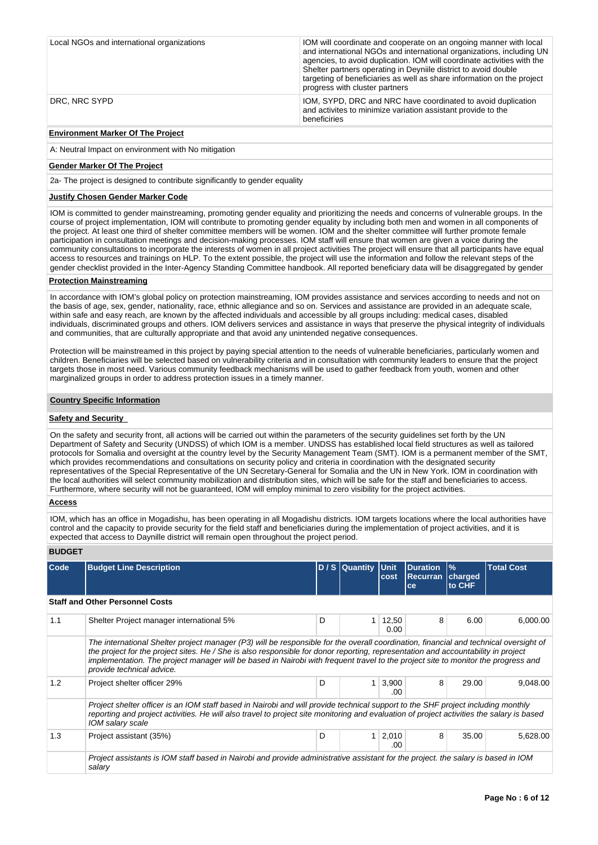| Local NGOs and international organizations | IOM will coordinate and cooperate on an ongoing manner with local<br>and international NGOs and international organizations, including UN<br>agencies, to avoid duplication. IOM will coordinate activities with the<br>Shelter partners operating in Deynille district to avoid double<br>targeting of beneficiaries as well as share information on the project<br>progress with cluster partners |
|--------------------------------------------|-----------------------------------------------------------------------------------------------------------------------------------------------------------------------------------------------------------------------------------------------------------------------------------------------------------------------------------------------------------------------------------------------------|
| DRC, NRC SYPD                              | IOM, SYPD, DRC and NRC have coordinated to avoid duplication<br>and activites to minimize variation assistant provide to the<br>beneficiries                                                                                                                                                                                                                                                        |

## **Environment Marker Of The Project**

A: Neutral Impact on environment with No mitigation

### **Gender Marker Of The Project**

2a- The project is designed to contribute significantly to gender equality

## **Justify Chosen Gender Marker Code**

IOM is committed to gender mainstreaming, promoting gender equality and prioritizing the needs and concerns of vulnerable groups. In the course of project implementation, IOM will contribute to promoting gender equality by including both men and women in all components of the project. At least one third of shelter committee members will be women. IOM and the shelter committee will further promote female participation in consultation meetings and decision-making processes. IOM staff will ensure that women are given a voice during the community consultations to incorporate the interests of women in all project activities The project will ensure that all participants have equal access to resources and trainings on HLP. To the extent possible, the project will use the information and follow the relevant steps of the gender checklist provided in the Inter-Agency Standing Committee handbook. All reported beneficiary data will be disaggregated by gender

## **Protection Mainstreaming**

In accordance with IOM's global policy on protection mainstreaming, IOM provides assistance and services according to needs and not on the basis of age, sex, gender, nationality, race, ethnic allegiance and so on. Services and assistance are provided in an adequate scale, within safe and easy reach, are known by the affected individuals and accessible by all groups including: medical cases, disabled individuals, discriminated groups and others. IOM delivers services and assistance in ways that preserve the physical integrity of individuals and communities, that are culturally appropriate and that avoid any unintended negative consequences.

Protection will be mainstreamed in this project by paying special attention to the needs of vulnerable beneficiaries, particularly women and children. Beneficiaries will be selected based on vulnerability criteria and in consultation with community leaders to ensure that the project targets those in most need. Various community feedback mechanisms will be used to gather feedback from youth, women and other marginalized groups in order to address protection issues in a timely manner.

## **Country Specific Information**

## **Safety and Security**

On the safety and security front, all actions will be carried out within the parameters of the security guidelines set forth by the UN Department of Safety and Security (UNDSS) of which IOM is a member. UNDSS has established local field structures as well as tailored protocols for Somalia and oversight at the country level by the Security Management Team (SMT). IOM is a permanent member of the SMT, which provides recommendations and consultations on security policy and criteria in coordination with the designated security representatives of the Special Representative of the UN Secretary-General for Somalia and the UN in New York. IOM in coordination with the local authorities will select community mobilization and distribution sites, which will be safe for the staff and beneficiaries to access. Furthermore, where security will not be guaranteed, IOM will employ minimal to zero visibility for the project activities.

# **Access**

IOM, which has an office in Mogadishu, has been operating in all Mogadishu districts. IOM targets locations where the local authorities have control and the capacity to provide security for the field staff and beneficiaries during the implementation of project activities, and it is expected that access to Daynille district will remain open throughout the project period.

## **BUDGET**

| <b>Code</b>                                                                                                                                                                                                                                                                                                                                                                                                                                  | <b>Budget Line Description</b>                                                                                                                                                                                                                                                                    |   | D / S Quantity Unit | cost          | Duration<br><b>Recurran</b><br>ce | $\frac{9}{6}$<br>charged<br>to CHF | <b>Total Cost</b> |  |  |  |  |
|----------------------------------------------------------------------------------------------------------------------------------------------------------------------------------------------------------------------------------------------------------------------------------------------------------------------------------------------------------------------------------------------------------------------------------------------|---------------------------------------------------------------------------------------------------------------------------------------------------------------------------------------------------------------------------------------------------------------------------------------------------|---|---------------------|---------------|-----------------------------------|------------------------------------|-------------------|--|--|--|--|
|                                                                                                                                                                                                                                                                                                                                                                                                                                              | <b>Staff and Other Personnel Costs</b>                                                                                                                                                                                                                                                            |   |                     |               |                                   |                                    |                   |  |  |  |  |
| 1.1                                                                                                                                                                                                                                                                                                                                                                                                                                          | Shelter Project manager international 5%                                                                                                                                                                                                                                                          | D |                     | 12,50<br>0.00 | 8                                 | 6.00                               | 6,000.00          |  |  |  |  |
| The international Shelter project manager (P3) will be responsible for the overall coordination, financial and technical oversight of<br>the project for the project sites. He / She is also responsible for donor reporting, representation and accountability in project<br>implementation. The project manager will be based in Nairobi with frequent travel to the project site to monitor the progress and<br>provide technical advice. |                                                                                                                                                                                                                                                                                                   |   |                     |               |                                   |                                    |                   |  |  |  |  |
| 1.2                                                                                                                                                                                                                                                                                                                                                                                                                                          | Project shelter officer 29%                                                                                                                                                                                                                                                                       | D | 1                   | 3,900<br>.00  | 8                                 | 29.00                              | 9,048.00          |  |  |  |  |
|                                                                                                                                                                                                                                                                                                                                                                                                                                              | Project shelter officer is an IOM staff based in Nairobi and will provide technical support to the SHF project including monthly<br>reporting and project activities. He will also travel to project site monitoring and evaluation of project activities the salary is based<br>IOM salary scale |   |                     |               |                                   |                                    |                   |  |  |  |  |
| 1.3                                                                                                                                                                                                                                                                                                                                                                                                                                          | Project assistant (35%)                                                                                                                                                                                                                                                                           | D | $\mathbf{1}$        | 2,010<br>.00  | 8                                 | 35.00                              | 5,628.00          |  |  |  |  |
|                                                                                                                                                                                                                                                                                                                                                                                                                                              | Project assistants is IOM staff based in Nairobi and provide administrative assistant for the project, the salary is based in IOM<br>salary                                                                                                                                                       |   |                     |               |                                   |                                    |                   |  |  |  |  |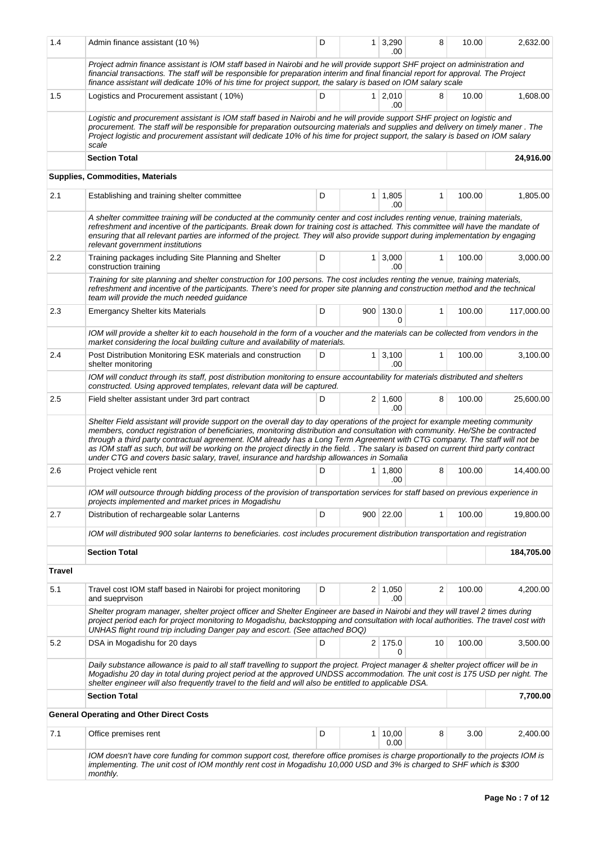| 1.4           | Admin finance assistant (10 %)                                                                                                                                                                                                                                                                                                                                                                                                                                                                                                                                                                                                    | D | 1 <sup>1</sup> | 3,290<br>.00          | 8  | 10.00  | 2,632.00   |
|---------------|-----------------------------------------------------------------------------------------------------------------------------------------------------------------------------------------------------------------------------------------------------------------------------------------------------------------------------------------------------------------------------------------------------------------------------------------------------------------------------------------------------------------------------------------------------------------------------------------------------------------------------------|---|----------------|-----------------------|----|--------|------------|
|               | Project admin finance assistant is IOM staff based in Nairobi and he will provide support SHF project on administration and<br>financial transactions. The staff will be responsible for preparation interim and final financial report for approval. The Project<br>finance assistant will dedicate 10% of his time for project support, the salary is based on IOM salary scale                                                                                                                                                                                                                                                 |   |                |                       |    |        |            |
| 1.5           | Logistics and Procurement assistant (10%)                                                                                                                                                                                                                                                                                                                                                                                                                                                                                                                                                                                         | D | 1 <sup>1</sup> | 2,010<br>.00          | 8  | 10.00  | 1,608.00   |
|               | Logistic and procurement assistant is IOM staff based in Nairobi and he will provide support SHF project on logistic and<br>procurement. The staff will be responsible for preparation outsourcing materials and supplies and delivery on timely maner. The<br>Project logistic and procurement assistant will dedicate 10% of his time for project support, the salary is based on IOM salary<br>scale                                                                                                                                                                                                                           |   |                |                       |    |        |            |
|               | <b>Section Total</b>                                                                                                                                                                                                                                                                                                                                                                                                                                                                                                                                                                                                              |   |                |                       |    |        | 24,916.00  |
|               | Supplies, Commodities, Materials                                                                                                                                                                                                                                                                                                                                                                                                                                                                                                                                                                                                  |   |                |                       |    |        |            |
| 2.1           | Establishing and training shelter committee                                                                                                                                                                                                                                                                                                                                                                                                                                                                                                                                                                                       | D | 1              | 1,805<br>.00          | 1  | 100.00 | 1,805.00   |
|               | A shelter committee training will be conducted at the community center and cost includes renting venue, training materials,<br>refreshment and incentive of the participants. Break down for training cost is attached. This committee will have the mandate of<br>ensuring that all relevant parties are informed of the project. They will also provide support during implementation by engaging<br>relevant government institutions                                                                                                                                                                                           |   |                |                       |    |        |            |
| $2.2\,$       | Training packages including Site Planning and Shelter<br>construction training                                                                                                                                                                                                                                                                                                                                                                                                                                                                                                                                                    | D | 1              | 3,000<br>.00          | 1  | 100.00 | 3,000.00   |
|               | Training for site planning and shelter construction for 100 persons. The cost includes renting the venue, training materials,<br>refreshment and incentive of the participants. There's need for proper site planning and construction method and the technical<br>team will provide the much needed guidance                                                                                                                                                                                                                                                                                                                     |   |                |                       |    |        |            |
| 2.3           | <b>Emergancy Shelter kits Materials</b>                                                                                                                                                                                                                                                                                                                                                                                                                                                                                                                                                                                           | D |                | 900 130.0<br>0        | 1  | 100.00 | 117,000.00 |
|               | IOM will provide a shelter kit to each household in the form of a voucher and the materials can be collected from vendors in the<br>market considering the local building culture and availability of materials.                                                                                                                                                                                                                                                                                                                                                                                                                  |   |                |                       |    |        |            |
| 2.4           | Post Distribution Monitoring ESK materials and construction<br>shelter monitoring                                                                                                                                                                                                                                                                                                                                                                                                                                                                                                                                                 | D | 1              | 3,100<br>.00          | 1  | 100.00 | 3,100.00   |
|               | IOM will conduct through its staff, post distribution monitoring to ensure accountability for materials distributed and shelters<br>constructed. Using approved templates, relevant data will be captured.                                                                                                                                                                                                                                                                                                                                                                                                                        |   |                |                       |    |        |            |
| 2.5           | Field shelter assistant under 3rd part contract                                                                                                                                                                                                                                                                                                                                                                                                                                                                                                                                                                                   | D |                | $2 \mid 1,600$<br>.00 | 8  | 100.00 | 25,600.00  |
|               | Shelter Field assistant will provide support on the overall day to day operations of the project for example meeting community<br>members, conduct registration of beneficiaries, monitoring distribution and consultation with community. He/She be contracted<br>through a third party contractual agreement. IOM already has a Long Term Agreement with CTG company. The staff will not be<br>as IOM staff as such, but will be working on the project directly in the field. . The salary is based on current third party contract<br>under CTG and covers basic salary, travel, insurance and hardship allowances in Somalia |   |                |                       |    |        |            |
| 2.6           | Project vehicle rent                                                                                                                                                                                                                                                                                                                                                                                                                                                                                                                                                                                                              | D |                | $1 \mid 1,800$<br>.00 | 8  | 100.00 | 14,400.00  |
|               | IOM will outsource through bidding process of the provision of transportation services for staff based on previous experience in<br>projects implemented and market prices in Mogadishu                                                                                                                                                                                                                                                                                                                                                                                                                                           |   |                |                       |    |        |            |
| 2.7           | Distribution of rechargeable solar Lanterns                                                                                                                                                                                                                                                                                                                                                                                                                                                                                                                                                                                       | D |                | 900 22.00             | 1  | 100.00 | 19,800.00  |
|               | IOM will distributed 900 solar lanterns to beneficiaries. cost includes procurement distribution transportation and registration                                                                                                                                                                                                                                                                                                                                                                                                                                                                                                  |   |                |                       |    |        |            |
|               | <b>Section Total</b>                                                                                                                                                                                                                                                                                                                                                                                                                                                                                                                                                                                                              |   |                |                       |    |        | 184,705.00 |
| <b>Travel</b> |                                                                                                                                                                                                                                                                                                                                                                                                                                                                                                                                                                                                                                   |   |                |                       |    |        |            |
| 5.1           | Travel cost IOM staff based in Nairobi for project monitoring<br>and sueprvison                                                                                                                                                                                                                                                                                                                                                                                                                                                                                                                                                   | D |                | $2 \mid 1,050$<br>.00 | 2  | 100.00 | 4,200.00   |
|               | Shelter program manager, shelter project officer and Shelter Engineer are based in Nairobi and they will travel 2 times during<br>project period each for project monitoring to Mogadishu, backstopping and consultation with local authorities. The travel cost with<br>UNHAS flight round trip including Danger pay and escort. (See attached BOQ)                                                                                                                                                                                                                                                                              |   |                |                       |    |        |            |
| 5.2           | DSA in Mogadishu for 20 days                                                                                                                                                                                                                                                                                                                                                                                                                                                                                                                                                                                                      | D |                | $2$ 175.0<br>0        | 10 | 100.00 | 3,500.00   |
|               | Daily substance allowance is paid to all staff travelling to support the project. Project manager & shelter project officer will be in<br>Mogadishu 20 day in total during project period at the approved UNDSS accommodation. The unit cost is 175 USD per night. The<br>shelter engineer will also frequently travel to the field and will also be entitled to applicable DSA.                                                                                                                                                                                                                                                  |   |                |                       |    |        |            |
|               | <b>Section Total</b>                                                                                                                                                                                                                                                                                                                                                                                                                                                                                                                                                                                                              |   |                |                       |    |        | 7,700.00   |
|               | <b>General Operating and Other Direct Costs</b>                                                                                                                                                                                                                                                                                                                                                                                                                                                                                                                                                                                   |   |                |                       |    |        |            |
| 7.1           | Office premises rent                                                                                                                                                                                                                                                                                                                                                                                                                                                                                                                                                                                                              | D | 1              | 10,00<br>0.00         | 8  | 3.00   | 2,400.00   |
|               | IOM doesn't have core funding for common support cost, therefore office promises is charge proportionally to the projects IOM is<br>implementing. The unit cost of IOM monthly rent cost in Mogadishu 10,000 USD and 3% is charged to SHF which is \$300<br>monthly.                                                                                                                                                                                                                                                                                                                                                              |   |                |                       |    |        |            |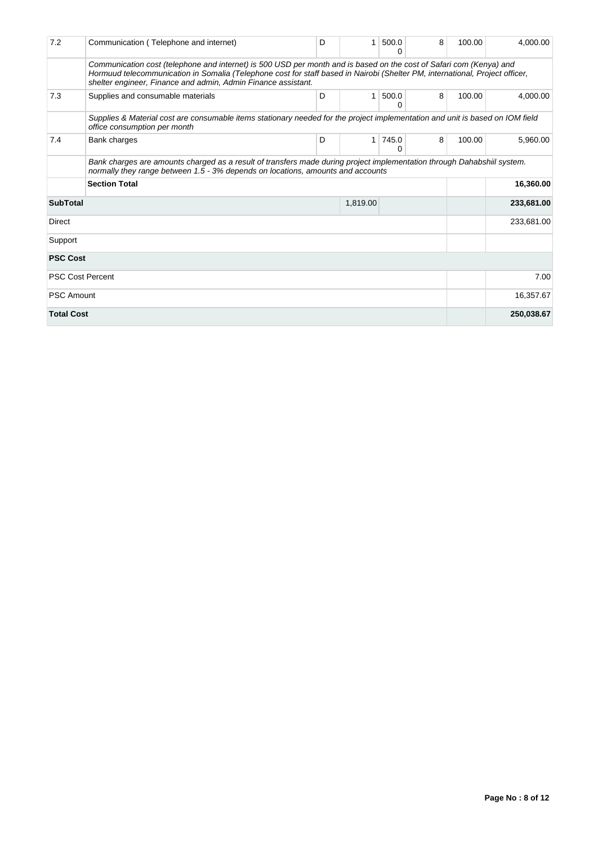| 7.2                         | Communication (Telephone and internet)                                                                                                                                                                                                                                                                               | D | 1 | 500.0<br>0 | 8 | 100.00     | 4.000.00   |  |  |  |
|-----------------------------|----------------------------------------------------------------------------------------------------------------------------------------------------------------------------------------------------------------------------------------------------------------------------------------------------------------------|---|---|------------|---|------------|------------|--|--|--|
|                             | Communication cost (telephone and internet) is 500 USD per month and is based on the cost of Safari com (Kenya) and<br>Hormuud telecommunication in Somalia (Telephone cost for staff based in Nairobi (Shelter PM, international, Project officer,<br>shelter engineer, Finance and admin, Admin Finance assistant. |   |   |            |   |            |            |  |  |  |
| 7.3                         | Supplies and consumable materials                                                                                                                                                                                                                                                                                    | D | 1 | 500.0<br>0 | 8 | 100.00     | 4,000.00   |  |  |  |
|                             | Supplies & Material cost are consumable items stationary needed for the project implementation and unit is based on IOM field<br>office consumption per month                                                                                                                                                        |   |   |            |   |            |            |  |  |  |
| 7.4                         | Bank charges                                                                                                                                                                                                                                                                                                         | D | 1 | 745.0<br>0 | 8 | 100.00     | 5,960.00   |  |  |  |
|                             | Bank charges are amounts charged as a result of transfers made during project implementation through Dahabshiil system.<br>normally they range between 1.5 - 3% depends on locations, amounts and accounts                                                                                                           |   |   |            |   |            |            |  |  |  |
|                             | <b>Section Total</b>                                                                                                                                                                                                                                                                                                 |   |   |            |   |            | 16,360.00  |  |  |  |
| <b>SubTotal</b><br>1,819.00 |                                                                                                                                                                                                                                                                                                                      |   |   |            |   |            | 233,681.00 |  |  |  |
| Direct                      |                                                                                                                                                                                                                                                                                                                      |   |   |            |   |            | 233,681.00 |  |  |  |
| Support                     |                                                                                                                                                                                                                                                                                                                      |   |   |            |   |            |            |  |  |  |
| <b>PSC Cost</b>             |                                                                                                                                                                                                                                                                                                                      |   |   |            |   |            |            |  |  |  |
|                             | <b>PSC Cost Percent</b>                                                                                                                                                                                                                                                                                              |   |   |            |   |            | 7.00       |  |  |  |
| <b>PSC Amount</b>           |                                                                                                                                                                                                                                                                                                                      |   |   |            |   |            | 16,357.67  |  |  |  |
| <b>Total Cost</b>           |                                                                                                                                                                                                                                                                                                                      |   |   |            |   | 250,038.67 |            |  |  |  |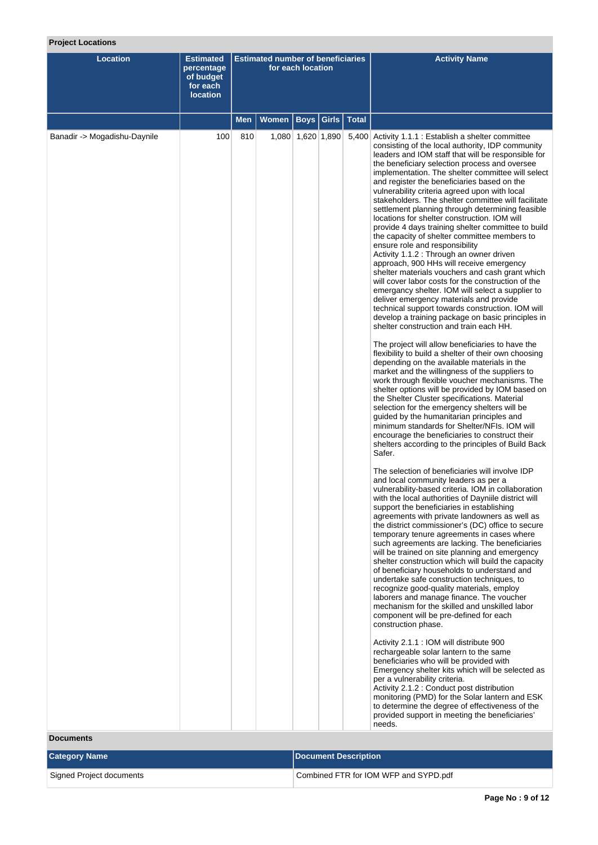# **Project Locations**

| <b>Location</b>              | <b>Estimated</b><br>percentage<br>of budget<br>for each<br><b>location</b> | <b>Estimated number of beneficiaries</b><br>for each location |       |                   |              |              | <b>Activity Name</b>                                                                                                                                                                                                                                                                                                                                                                                                                                                                                                                                                                                                                                                                                                                                                                                                                                                                                                                                                                                                                                                                                                                                                                                                                                                                                                                                                                                                                                                                                                                                                                                                                                                                                                                                                                                                                                                                                                                                                                                                                                                                                                                                                                                                                                                                                                                                                                                                                                                                                                                                                                                                                                                                                                                                                                                                                                                                                                                                                                                             |
|------------------------------|----------------------------------------------------------------------------|---------------------------------------------------------------|-------|-------------------|--------------|--------------|------------------------------------------------------------------------------------------------------------------------------------------------------------------------------------------------------------------------------------------------------------------------------------------------------------------------------------------------------------------------------------------------------------------------------------------------------------------------------------------------------------------------------------------------------------------------------------------------------------------------------------------------------------------------------------------------------------------------------------------------------------------------------------------------------------------------------------------------------------------------------------------------------------------------------------------------------------------------------------------------------------------------------------------------------------------------------------------------------------------------------------------------------------------------------------------------------------------------------------------------------------------------------------------------------------------------------------------------------------------------------------------------------------------------------------------------------------------------------------------------------------------------------------------------------------------------------------------------------------------------------------------------------------------------------------------------------------------------------------------------------------------------------------------------------------------------------------------------------------------------------------------------------------------------------------------------------------------------------------------------------------------------------------------------------------------------------------------------------------------------------------------------------------------------------------------------------------------------------------------------------------------------------------------------------------------------------------------------------------------------------------------------------------------------------------------------------------------------------------------------------------------------------------------------------------------------------------------------------------------------------------------------------------------------------------------------------------------------------------------------------------------------------------------------------------------------------------------------------------------------------------------------------------------------------------------------------------------------------------------------------------------|
|                              |                                                                            | Men                                                           | Women |                   | Boys   Girls | <b>Total</b> |                                                                                                                                                                                                                                                                                                                                                                                                                                                                                                                                                                                                                                                                                                                                                                                                                                                                                                                                                                                                                                                                                                                                                                                                                                                                                                                                                                                                                                                                                                                                                                                                                                                                                                                                                                                                                                                                                                                                                                                                                                                                                                                                                                                                                                                                                                                                                                                                                                                                                                                                                                                                                                                                                                                                                                                                                                                                                                                                                                                                                  |
| Banadir -> Mogadishu-Daynile | 100                                                                        | 810                                                           |       | 1,080 1,620 1,890 |              |              | 5,400 Activity 1.1.1 : Establish a shelter committee<br>consisting of the local authority, IDP community<br>leaders and IOM staff that will be responsible for<br>the beneficiary selection process and oversee<br>implementation. The shelter committee will select<br>and register the beneficiaries based on the<br>vulnerability criteria agreed upon with local<br>stakeholders. The shelter committee will facilitate<br>settlement planning through determining feasible<br>locations for shelter construction. IOM will<br>provide 4 days training shelter committee to build<br>the capacity of shelter committee members to<br>ensure role and responsibility<br>Activity 1.1.2 : Through an owner driven<br>approach, 900 HHs will receive emergency<br>shelter materials vouchers and cash grant which<br>will cover labor costs for the construction of the<br>emergancy shelter. IOM will select a supplier to<br>deliver emergency materials and provide<br>technical support towards construction. IOM will<br>develop a training package on basic principles in<br>shelter construction and train each HH.<br>The project will allow beneficiaries to have the<br>flexibility to build a shelter of their own choosing<br>depending on the available materials in the<br>market and the willingness of the suppliers to<br>work through flexible voucher mechanisms. The<br>shelter options will be provided by IOM based on<br>the Shelter Cluster specifications. Material<br>selection for the emergency shelters will be<br>guided by the humanitarian principles and<br>minimum standards for Shelter/NFIs. IOM will<br>encourage the beneficiaries to construct their<br>shelters according to the principles of Build Back<br>Safer.<br>The selection of beneficiaries will involve IDP<br>and local community leaders as per a<br>vulnerability-based criteria. IOM in collaboration<br>with the local authorities of Dayniile district will<br>support the beneficiaries in establishing<br>agreements with private landowners as well as<br>the district commissioner's (DC) office to secure<br>temporary tenure agreements in cases where<br>such agreements are lacking. The beneficiaries<br>will be trained on site planning and emergency<br>shelter construction which will build the capacity<br>of beneficiary households to understand and<br>undertake safe construction techniques, to<br>recognize good-quality materials, employ<br>laborers and manage finance. The voucher<br>mechanism for the skilled and unskilled labor<br>component will be pre-defined for each<br>construction phase.<br>Activity 2.1.1 : IOM will distribute 900<br>rechargeable solar lantern to the same<br>beneficiaries who will be provided with<br>Emergency shelter kits which will be selected as<br>per a vulnerability criteria.<br>Activity 2.1.2 : Conduct post distribution<br>monitoring (PMD) for the Solar lantern and ESK<br>to determine the degree of effectiveness of the |

# **Documents**

| <b>Category Name</b>     | Document Description                  |
|--------------------------|---------------------------------------|
| Signed Project documents | Combined FTR for IOM WFP and SYPD.pdf |